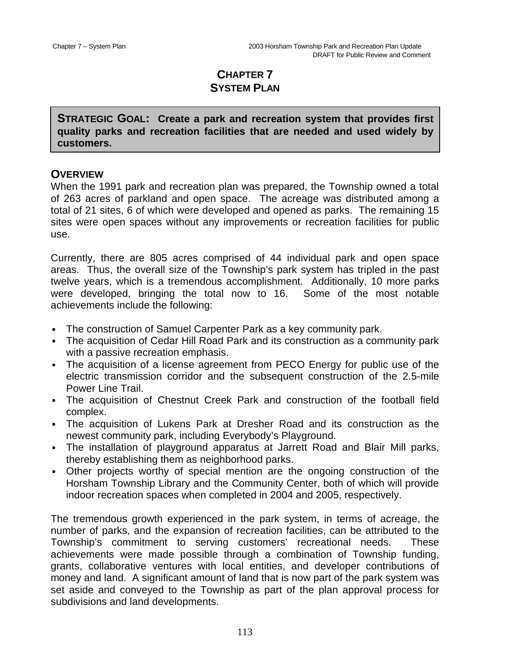# **CHAPTER 7 SYSTEM PLAN**

**STRATEGIC GOAL: Create a park and recreation system that provides first quality parks and recreation facilities that are needed and used widely by customers.**

# **OVERVIEW**

When the 1991 park and recreation plan was prepared, the Township owned a total of 263 acres of parkland and open space. The acreage was distributed among a total of 21 sites, 6 of which were developed and opened as parks. The remaining 15 sites were open spaces without any improvements or recreation facilities for public use.

Currently, there are 805 acres comprised of 44 individual park and open space areas. Thus, the overall size of the Township's park system has tripled in the past twelve years, which is a tremendous accomplishment. Additionally, 10 more parks were developed, bringing the total now to 16. Some of the most notable achievements include the following:

- The construction of Samuel Carpenter Park as a key community park.
- The acquisition of Cedar Hill Road Park and its construction as a community park with a passive recreation emphasis.
- The acquisition of a license agreement from PECO Energy for public use of the electric transmission corridor and the subsequent construction of the 2.5-mile Power Line Trail.
- The acquisition of Chestnut Creek Park and construction of the football field complex.
- The acquisition of Lukens Park at Dresher Road and its construction as the newest community park, including Everybody's Playground.
- The installation of playground apparatus at Jarrett Road and Blair Mill parks, thereby establishing them as neighborhood parks.
- Other projects worthy of special mention are the ongoing construction of the Horsham Township Library and the Community Center, both of which will provide indoor recreation spaces when completed in 2004 and 2005, respectively.

The tremendous growth experienced in the park system, in terms of acreage, the number of parks, and the expansion of recreation facilities, can be attributed to the Township's commitment to serving customers' recreational needs. These achievements were made possible through a combination of Township funding, grants, collaborative ventures with local entities, and developer contributions of money and land. A significant amount of land that is now part of the park system was set aside and conveyed to the Township as part of the plan approval process for subdivisions and land developments.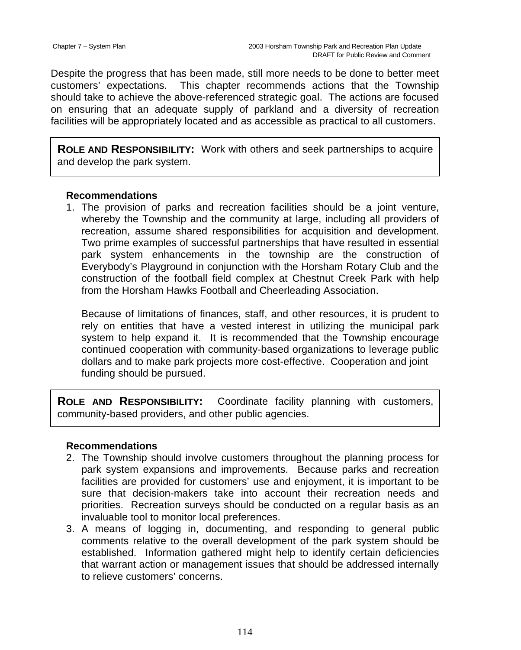Despite the progress that has been made, still more needs to be done to better meet customers' expectations. This chapter recommends actions that the Township should take to achieve the above-referenced strategic goal. The actions are focused on ensuring that an adequate supply of parkland and a diversity of recreation facilities will be appropriately located and as accessible as practical to all customers.

**ROLE AND RESPONSIBILITY:** Work with others and seek partnerships to acquire and develop the park system.

#### **Recommendations**

1. The provision of parks and recreation facilities should be a joint venture, whereby the Township and the community at large, including all providers of recreation, assume shared responsibilities for acquisition and development. Two prime examples of successful partnerships that have resulted in essential park system enhancements in the township are the construction of Everybody's Playground in conjunction with the Horsham Rotary Club and the construction of the football field complex at Chestnut Creek Park with help from the Horsham Hawks Football and Cheerleading Association.

Because of limitations of finances, staff, and other resources, it is prudent to rely on entities that have a vested interest in utilizing the municipal park system to help expand it. It is recommended that the Township encourage continued cooperation with community-based organizations to leverage public dollars and to make park projects more cost-effective. Cooperation and joint funding should be pursued.

**ROLE AND RESPONSIBILITY:** Coordinate facility planning with customers, community-based providers, and other public agencies.

## **Recommendations**

- 2. The Township should involve customers throughout the planning process for park system expansions and improvements. Because parks and recreation facilities are provided for customers' use and enjoyment, it is important to be sure that decision-makers take into account their recreation needs and priorities. Recreation surveys should be conducted on a regular basis as an invaluable tool to monitor local preferences.
- 3. A means of logging in, documenting, and responding to general public comments relative to the overall development of the park system should be established. Information gathered might help to identify certain deficiencies that warrant action or management issues that should be addressed internally to relieve customers' concerns.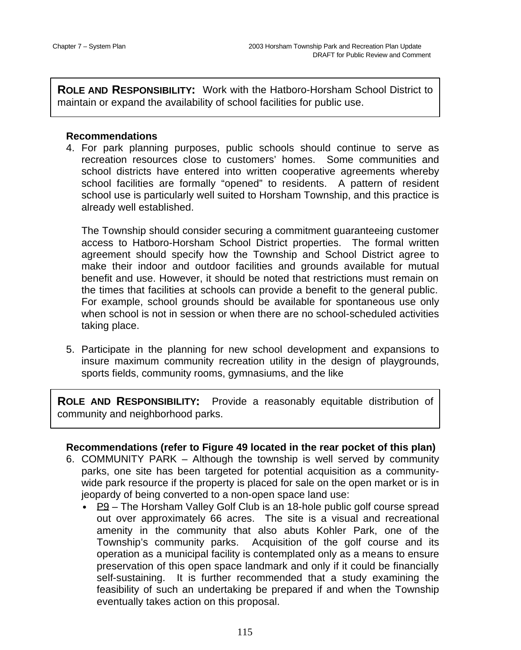**ROLE AND RESPONSIBILITY:** Work with the Hatboro-Horsham School District to maintain or expand the availability of school facilities for public use.

## **Recommendations**

4. For park planning purposes, public schools should continue to serve as recreation resources close to customers' homes. Some communities and school districts have entered into written cooperative agreements whereby school facilities are formally "opened" to residents. A pattern of resident school use is particularly well suited to Horsham Township, and this practice is already well established.

The Township should consider securing a commitment guaranteeing customer access to Hatboro-Horsham School District properties. The formal written agreement should specify how the Township and School District agree to make their indoor and outdoor facilities and grounds available for mutual benefit and use. However, it should be noted that restrictions must remain on the times that facilities at schools can provide a benefit to the general public. For example, school grounds should be available for spontaneous use only when school is not in session or when there are no school-scheduled activities taking place.

5. Participate in the planning for new school development and expansions to insure maximum community recreation utility in the design of playgrounds, sports fields, community rooms, gymnasiums, and the like

**ROLE AND RESPONSIBILITY:** Provide a reasonably equitable distribution of community and neighborhood parks.

# **Recommendations (refer to Figure 49 located in the rear pocket of this plan)**

- 6. COMMUNITY PARK Although the township is well served by community parks, one site has been targeted for potential acquisition as a communitywide park resource if the property is placed for sale on the open market or is in jeopardy of being converted to a non-open space land use:
	- $P9$  The Horsham Valley Golf Club is an 18-hole public golf course spread out over approximately 66 acres. The site is a visual and recreational amenity in the community that also abuts Kohler Park, one of the Township's community parks. Acquisition of the golf course and its operation as a municipal facility is contemplated only as a means to ensure preservation of this open space landmark and only if it could be financially self-sustaining. It is further recommended that a study examining the feasibility of such an undertaking be prepared if and when the Township eventually takes action on this proposal.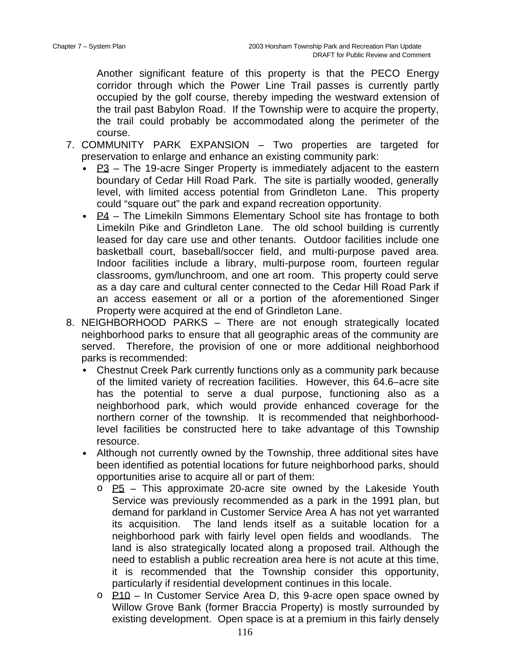Another significant feature of this property is that the PECO Energy corridor through which the Power Line Trail passes is currently partly occupied by the golf course, thereby impeding the westward extension of the trail past Babylon Road. If the Township were to acquire the property, the trail could probably be accommodated along the perimeter of the course.

- 7. COMMUNITY PARK EXPANSION Two properties are targeted for preservation to enlarge and enhance an existing community park:
	- $P3$  The 19-acre Singer Property is immediately adjacent to the eastern boundary of Cedar Hill Road Park. The site is partially wooded, generally level, with limited access potential from Grindleton Lane. This property could "square out" the park and expand recreation opportunity.
	- $P4$  The Limekiln Simmons Elementary School site has frontage to both Limekiln Pike and Grindleton Lane. The old school building is currently leased for day care use and other tenants. Outdoor facilities include one basketball court, baseball/soccer field, and multi-purpose paved area. Indoor facilities include a library, multi-purpose room, fourteen regular classrooms, gym/lunchroom, and one art room. This property could serve as a day care and cultural center connected to the Cedar Hill Road Park if an access easement or all or a portion of the aforementioned Singer Property were acquired at the end of Grindleton Lane.
- 8. NEIGHBORHOOD PARKS There are not enough strategically located neighborhood parks to ensure that all geographic areas of the community are served. Therefore, the provision of one or more additional neighborhood parks is recommended:
	- Chestnut Creek Park currently functions only as a community park because of the limited variety of recreation facilities. However, this 64.6–acre site has the potential to serve a dual purpose, functioning also as a neighborhood park, which would provide enhanced coverage for the northern corner of the township. It is recommended that neighborhoodlevel facilities be constructed here to take advantage of this Township resource.
	- Although not currently owned by the Township, three additional sites have been identified as potential locations for future neighborhood parks, should opportunities arise to acquire all or part of them:
		- $\circ$  P5 This approximate 20-acre site owned by the Lakeside Youth Service was previously recommended as a park in the 1991 plan, but demand for parkland in Customer Service Area A has not yet warranted its acquisition. The land lends itself as a suitable location for a neighborhood park with fairly level open fields and woodlands. The land is also strategically located along a proposed trail. Although the need to establish a public recreation area here is not acute at this time, it is recommended that the Township consider this opportunity, particularly if residential development continues in this locale.
		- $\circ$  P10 In Customer Service Area D, this 9-acre open space owned by Willow Grove Bank (former Braccia Property) is mostly surrounded by existing development. Open space is at a premium in this fairly densely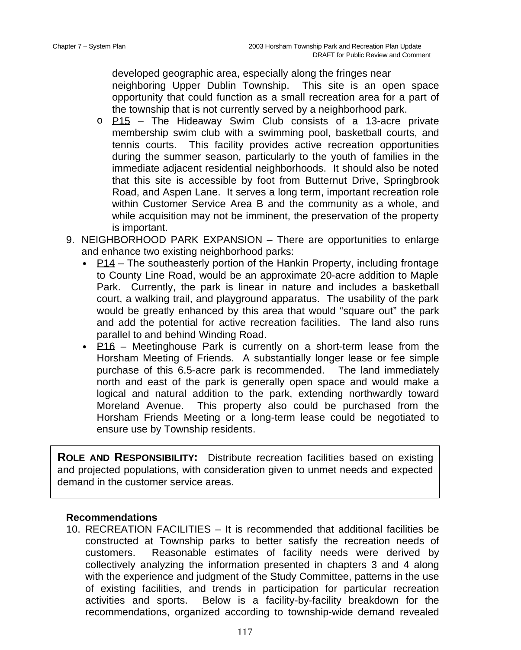developed geographic area, especially along the fringes near neighboring Upper Dublin Township. This site is an open space opportunity that could function as a small recreation area for a part of the township that is not currently served by a neighborhood park.

- o P15 The Hideaway Swim Club consists of a 13-acre private membership swim club with a swimming pool, basketball courts, and tennis courts. This facility provides active recreation opportunities during the summer season, particularly to the youth of families in the immediate adjacent residential neighborhoods. It should also be noted that this site is accessible by foot from Butternut Drive, Springbrook Road, and Aspen Lane. It serves a long term, important recreation role within Customer Service Area B and the community as a whole, and while acquisition may not be imminent, the preservation of the property is important.
- 9. NEIGHBORHOOD PARK EXPANSION There are opportunities to enlarge and enhance two existing neighborhood parks:
	- $P14$  The southeasterly portion of the Hankin Property, including frontage to County Line Road, would be an approximate 20-acre addition to Maple Park. Currently, the park is linear in nature and includes a basketball court, a walking trail, and playground apparatus. The usability of the park would be greatly enhanced by this area that would "square out" the park and add the potential for active recreation facilities. The land also runs parallel to and behind Winding Road.
	- P16 Meetinghouse Park is currently on a short-term lease from the Horsham Meeting of Friends. A substantially longer lease or fee simple purchase of this 6.5-acre park is recommended. The land immediately north and east of the park is generally open space and would make a logical and natural addition to the park, extending northwardly toward Moreland Avenue. This property also could be purchased from the Horsham Friends Meeting or a long-term lease could be negotiated to ensure use by Township residents.

**ROLE AND RESPONSIBILITY:** Distribute recreation facilities based on existing and projected populations, with consideration given to unmet needs and expected demand in the customer service areas.

## **Recommendations**

10. RECREATION FACILITIES – It is recommended that additional facilities be constructed at Township parks to better satisfy the recreation needs of customers. Reasonable estimates of facility needs were derived by collectively analyzing the information presented in chapters 3 and 4 along with the experience and judgment of the Study Committee, patterns in the use of existing facilities, and trends in participation for particular recreation activities and sports. Below is a facility-by-facility breakdown for the recommendations, organized according to township-wide demand revealed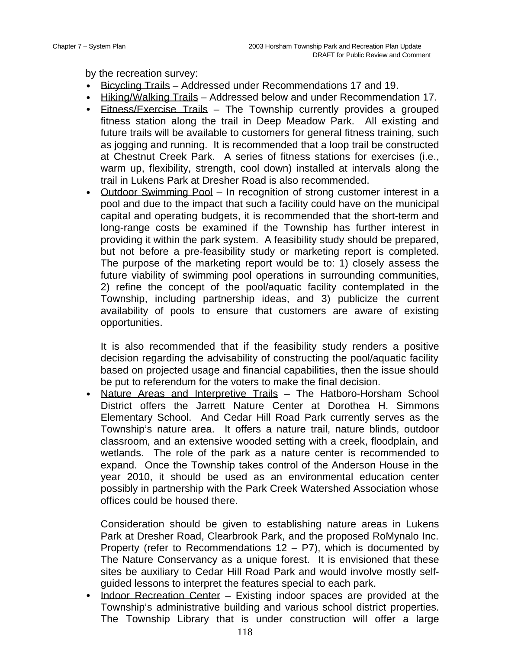by the recreation survey:

- Bicycling Trails Addressed under Recommendations 17 and 19.
- Hiking/Walking Trails Addressed below and under Recommendation 17.
- Fitness/Exercise Trails The Township currently provides a grouped fitness station along the trail in Deep Meadow Park. All existing and future trails will be available to customers for general fitness training, such as jogging and running. It is recommended that a loop trail be constructed at Chestnut Creek Park. A series of fitness stations for exercises (i.e., warm up, flexibility, strength, cool down) installed at intervals along the trail in Lukens Park at Dresher Road is also recommended.
- Outdoor Swimming Pool In recognition of strong customer interest in a pool and due to the impact that such a facility could have on the municipal capital and operating budgets, it is recommended that the short-term and long-range costs be examined if the Township has further interest in providing it within the park system. A feasibility study should be prepared, but not before a pre-feasibility study or marketing report is completed. The purpose of the marketing report would be to: 1) closely assess the future viability of swimming pool operations in surrounding communities, 2) refine the concept of the pool/aquatic facility contemplated in the Township, including partnership ideas, and 3) publicize the current availability of pools to ensure that customers are aware of existing opportunities.

It is also recommended that if the feasibility study renders a positive decision regarding the advisability of constructing the pool/aquatic facility based on projected usage and financial capabilities, then the issue should be put to referendum for the voters to make the final decision.

• Nature Areas and Interpretive Trails – The Hatboro-Horsham School District offers the Jarrett Nature Center at Dorothea H. Simmons Elementary School. And Cedar Hill Road Park currently serves as the Township's nature area. It offers a nature trail, nature blinds, outdoor classroom, and an extensive wooded setting with a creek, floodplain, and wetlands. The role of the park as a nature center is recommended to expand. Once the Township takes control of the Anderson House in the year 2010, it should be used as an environmental education center possibly in partnership with the Park Creek Watershed Association whose offices could be housed there.

Consideration should be given to establishing nature areas in Lukens Park at Dresher Road, Clearbrook Park, and the proposed RoMynalo Inc. Property (refer to Recommendations  $12 - P7$ ), which is documented by The Nature Conservancy as a unique forest. It is envisioned that these sites be auxiliary to Cedar Hill Road Park and would involve mostly selfguided lessons to interpret the features special to each park.

• Indoor Recreation Center – Existing indoor spaces are provided at the Township's administrative building and various school district properties. The Township Library that is under construction will offer a large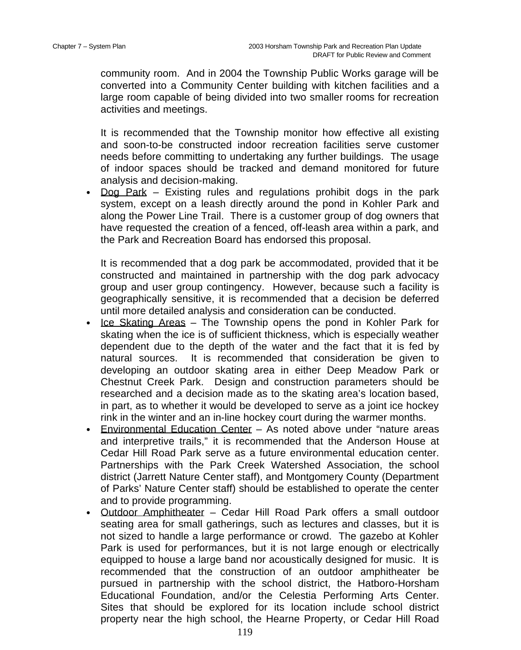community room. And in 2004 the Township Public Works garage will be converted into a Community Center building with kitchen facilities and a large room capable of being divided into two smaller rooms for recreation activities and meetings.

It is recommended that the Township monitor how effective all existing and soon-to-be constructed indoor recreation facilities serve customer needs before committing to undertaking any further buildings. The usage of indoor spaces should be tracked and demand monitored for future analysis and decision-making.

• Dog Park – Existing rules and regulations prohibit dogs in the park system, except on a leash directly around the pond in Kohler Park and along the Power Line Trail. There is a customer group of dog owners that have requested the creation of a fenced, off-leash area within a park, and the Park and Recreation Board has endorsed this proposal.

It is recommended that a dog park be accommodated, provided that it be constructed and maintained in partnership with the dog park advocacy group and user group contingency. However, because such a facility is geographically sensitive, it is recommended that a decision be deferred until more detailed analysis and consideration can be conducted.

- Ice Skating Areas The Township opens the pond in Kohler Park for skating when the ice is of sufficient thickness, which is especially weather dependent due to the depth of the water and the fact that it is fed by natural sources. It is recommended that consideration be given to developing an outdoor skating area in either Deep Meadow Park or Chestnut Creek Park. Design and construction parameters should be researched and a decision made as to the skating area's location based, in part, as to whether it would be developed to serve as a joint ice hockey rink in the winter and an in-line hockey court during the warmer months.
- Environmental Education Center As noted above under "nature areas and interpretive trails," it is recommended that the Anderson House at Cedar Hill Road Park serve as a future environmental education center. Partnerships with the Park Creek Watershed Association, the school district (Jarrett Nature Center staff), and Montgomery County (Department of Parks' Nature Center staff) should be established to operate the center and to provide programming.
- Outdoor Amphitheater Cedar Hill Road Park offers a small outdoor seating area for small gatherings, such as lectures and classes, but it is not sized to handle a large performance or crowd. The gazebo at Kohler Park is used for performances, but it is not large enough or electrically equipped to house a large band nor acoustically designed for music. It is recommended that the construction of an outdoor amphitheater be pursued in partnership with the school district, the Hatboro-Horsham Educational Foundation, and/or the Celestia Performing Arts Center. Sites that should be explored for its location include school district property near the high school, the Hearne Property, or Cedar Hill Road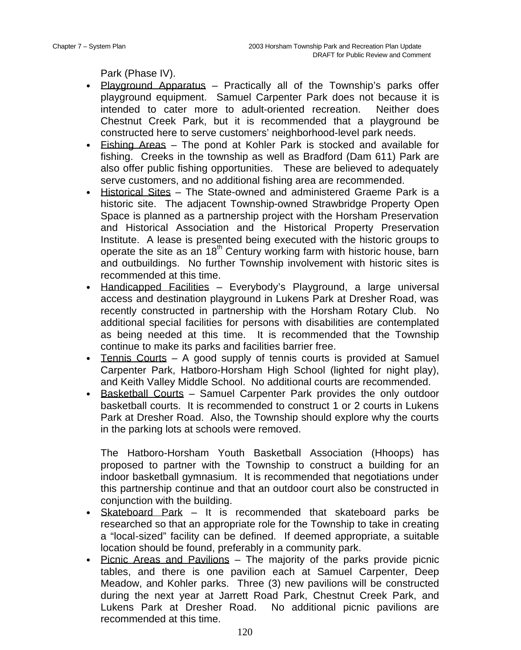Park (Phase IV).

- Playground Apparatus Practically all of the Township's parks offer playground equipment. Samuel Carpenter Park does not because it is intended to cater more to adult-oriented recreation. Neither does Chestnut Creek Park, but it is recommended that a playground be constructed here to serve customers' neighborhood-level park needs.
- Fishing Areas The pond at Kohler Park is stocked and available for fishing. Creeks in the township as well as Bradford (Dam 611) Park are also offer public fishing opportunities. These are believed to adequately serve customers, and no additional fishing area are recommended.
- Historical Sites The State-owned and administered Graeme Park is a historic site. The adjacent Township-owned Strawbridge Property Open Space is planned as a partnership project with the Horsham Preservation and Historical Association and the Historical Property Preservation Institute. A lease is presented being executed with the historic groups to operate the site as an  $18<sup>th</sup>$  Century working farm with historic house, barn and outbuildings. No further Township involvement with historic sites is recommended at this time.
- Handicapped Facilities Everybody's Playground, a large universal access and destination playground in Lukens Park at Dresher Road, was recently constructed in partnership with the Horsham Rotary Club. No additional special facilities for persons with disabilities are contemplated as being needed at this time. It is recommended that the Township continue to make its parks and facilities barrier free.
- Tennis Courts A good supply of tennis courts is provided at Samuel Carpenter Park, Hatboro-Horsham High School (lighted for night play), and Keith Valley Middle School. No additional courts are recommended.
- Basketball Courts Samuel Carpenter Park provides the only outdoor basketball courts. It is recommended to construct 1 or 2 courts in Lukens Park at Dresher Road. Also, the Township should explore why the courts in the parking lots at schools were removed.

The Hatboro-Horsham Youth Basketball Association (Hhoops) has proposed to partner with the Township to construct a building for an indoor basketball gymnasium. It is recommended that negotiations under this partnership continue and that an outdoor court also be constructed in conjunction with the building.

- Skateboard Park It is recommended that skateboard parks be researched so that an appropriate role for the Township to take in creating a "local-sized" facility can be defined. If deemed appropriate, a suitable location should be found, preferably in a community park.
- Picnic Areas and Pavilions The majority of the parks provide picnic tables, and there is one pavilion each at Samuel Carpenter, Deep Meadow, and Kohler parks. Three (3) new pavilions will be constructed during the next year at Jarrett Road Park, Chestnut Creek Park, and Lukens Park at Dresher Road. No additional picnic pavilions are recommended at this time.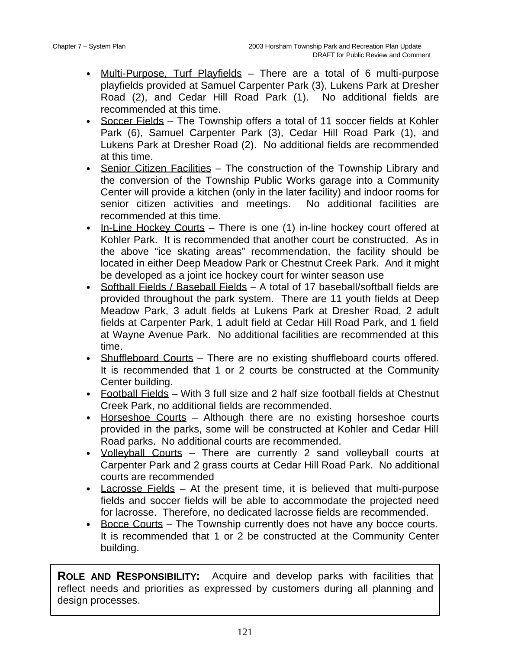- Multi-Purpose, Turf Playfields There are a total of 6 multi-purpose playfields provided at Samuel Carpenter Park (3), Lukens Park at Dresher Road (2), and Cedar Hill Road Park (1). No additional fields are recommended at this time.
- Soccer Fields The Township offers a total of 11 soccer fields at Kohler Park (6), Samuel Carpenter Park (3), Cedar Hill Road Park (1), and Lukens Park at Dresher Road (2). No additional fields are recommended at this time.
- Senior Citizen Facilities The construction of the Township Library and the conversion of the Township Public Works garage into a Community Center will provide a kitchen (only in the later facility) and indoor rooms for senior citizen activities and meetings. No additional facilities are recommended at this time.
- In-Line Hockey Courts There is one (1) in-line hockey court offered at Kohler Park. It is recommended that another court be constructed. As in the above "ice skating areas" recommendation, the facility should be located in either Deep Meadow Park or Chestnut Creek Park. And it might be developed as a joint ice hockey court for winter season use
- Softball Fields / Baseball Fields A total of 17 baseball/softball fields are provided throughout the park system. There are 11 youth fields at Deep Meadow Park, 3 adult fields at Lukens Park at Dresher Road, 2 adult fields at Carpenter Park, 1 adult field at Cedar Hill Road Park, and 1 field at Wayne Avenue Park. No additional facilities are recommended at this time.
- Shuffleboard Courts There are no existing shuffleboard courts offered. It is recommended that 1 or 2 courts be constructed at the Community Center building.
- Football Fields With 3 full size and 2 half size football fields at Chestnut Creek Park, no additional fields are recommended.
- Horseshoe Courts Although there are no existing horseshoe courts provided in the parks, some will be constructed at Kohler and Cedar Hill Road parks. No additional courts are recommended.
- Volleyball Courts There are currently 2 sand volleyball courts at Carpenter Park and 2 grass courts at Cedar Hill Road Park. No additional courts are recommended
- Lacrosse Fields At the present time, it is believed that multi-purpose fields and soccer fields will be able to accommodate the projected need for lacrosse. Therefore, no dedicated lacrosse fields are recommended.
- Bocce Courts The Township currently does not have any bocce courts. It is recommended that 1 or 2 be constructed at the Community Center building.

**ROLE AND RESPONSIBILITY:** Acquire and develop parks with facilities that reflect needs and priorities as expressed by customers during all planning and design processes.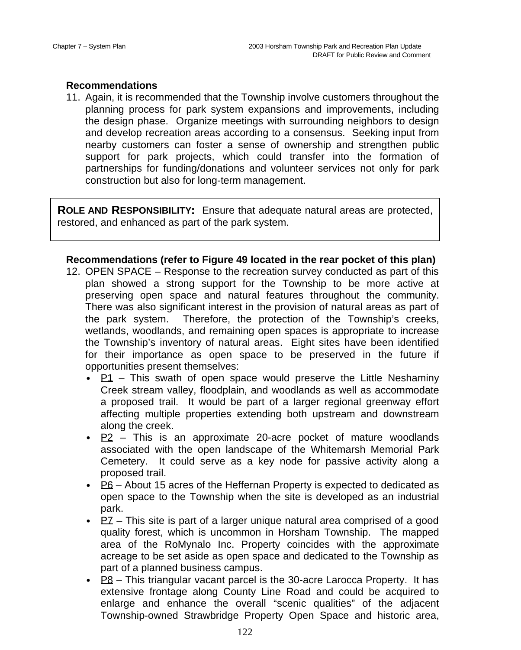#### **Recommendations**

11. Again, it is recommended that the Township involve customers throughout the planning process for park system expansions and improvements, including the design phase. Organize meetings with surrounding neighbors to design and develop recreation areas according to a consensus. Seeking input from nearby customers can foster a sense of ownership and strengthen public support for park projects, which could transfer into the formation of partnerships for funding/donations and volunteer services not only for park construction but also for long-term management.

**ROLE AND RESPONSIBILITY:** Ensure that adequate natural areas are protected, restored, and enhanced as part of the park system.

## **Recommendations (refer to Figure 49 located in the rear pocket of this plan)**

- 12. OPEN SPACE Response to the recreation survey conducted as part of this plan showed a strong support for the Township to be more active at preserving open space and natural features throughout the community. There was also significant interest in the provision of natural areas as part of the park system. Therefore, the protection of the Township's creeks, wetlands, woodlands, and remaining open spaces is appropriate to increase the Township's inventory of natural areas. Eight sites have been identified for their importance as open space to be preserved in the future if opportunities present themselves:
	- $\bullet$  P1 This swath of open space would preserve the Little Neshaminy Creek stream valley, floodplain, and woodlands as well as accommodate a proposed trail. It would be part of a larger regional greenway effort affecting multiple properties extending both upstream and downstream along the creek.
	- **P2** This is an approximate 20-acre pocket of mature woodlands associated with the open landscape of the Whitemarsh Memorial Park Cemetery. It could serve as a key node for passive activity along a proposed trail.
	- $\underline{P6}$  About 15 acres of the Heffernan Property is expected to dedicated as open space to the Township when the site is developed as an industrial park.
	- $PZ$  This site is part of a larger unique natural area comprised of a good quality forest, which is uncommon in Horsham Township. The mapped area of the RoMynalo Inc. Property coincides with the approximate acreage to be set aside as open space and dedicated to the Township as part of a planned business campus.
	- $P_8$  This triangular vacant parcel is the 30-acre Larocca Property. It has extensive frontage along County Line Road and could be acquired to enlarge and enhance the overall "scenic qualities" of the adjacent Township-owned Strawbridge Property Open Space and historic area,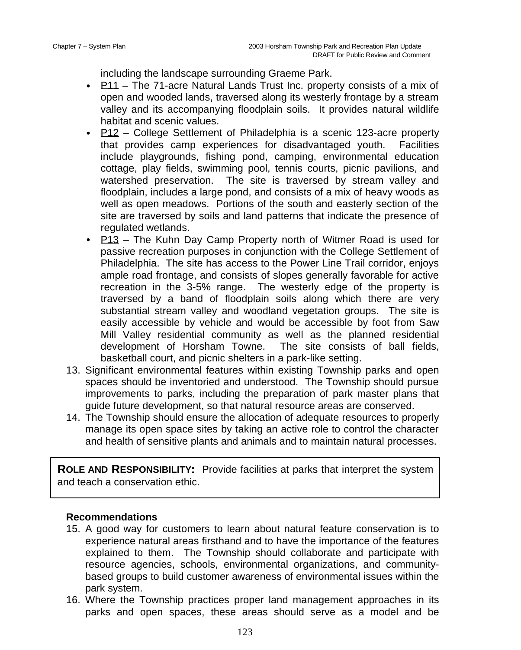including the landscape surrounding Graeme Park.

- P11 The 71-acre Natural Lands Trust Inc. property consists of a mix of open and wooded lands, traversed along its westerly frontage by a stream valley and its accompanying floodplain soils. It provides natural wildlife habitat and scenic values.
- $P12$  College Settlement of Philadelphia is a scenic 123-acre property that provides camp experiences for disadvantaged youth. Facilities include playgrounds, fishing pond, camping, environmental education cottage, play fields, swimming pool, tennis courts, picnic pavilions, and watershed preservation. The site is traversed by stream valley and floodplain, includes a large pond, and consists of a mix of heavy woods as well as open meadows. Portions of the south and easterly section of the site are traversed by soils and land patterns that indicate the presence of regulated wetlands.
- P13 The Kuhn Day Camp Property north of Witmer Road is used for passive recreation purposes in conjunction with the College Settlement of Philadelphia. The site has access to the Power Line Trail corridor, enjoys ample road frontage, and consists of slopes generally favorable for active recreation in the 3-5% range. The westerly edge of the property is traversed by a band of floodplain soils along which there are very substantial stream valley and woodland vegetation groups. The site is easily accessible by vehicle and would be accessible by foot from Saw Mill Valley residential community as well as the planned residential development of Horsham Towne. The site consists of ball fields, basketball court, and picnic shelters in a park-like setting.
- 13. Significant environmental features within existing Township parks and open spaces should be inventoried and understood. The Township should pursue improvements to parks, including the preparation of park master plans that guide future development, so that natural resource areas are conserved.
- 14. The Township should ensure the allocation of adequate resources to properly manage its open space sites by taking an active role to control the character and health of sensitive plants and animals and to maintain natural processes.

**ROLE AND RESPONSIBILITY:** Provide facilities at parks that interpret the system and teach a conservation ethic.

## **Recommendations**

- 15. A good way for customers to learn about natural feature conservation is to experience natural areas firsthand and to have the importance of the features explained to them. The Township should collaborate and participate with resource agencies, schools, environmental organizations, and communitybased groups to build customer awareness of environmental issues within the park system.
- 16. Where the Township practices proper land management approaches in its parks and open spaces, these areas should serve as a model and be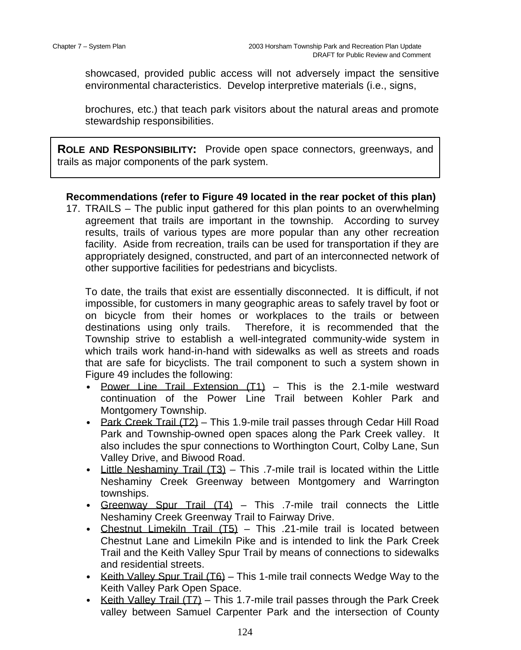showcased, provided public access will not adversely impact the sensitive environmental characteristics. Develop interpretive materials (i.e., signs,

brochures, etc.) that teach park visitors about the natural areas and promote stewardship responsibilities.

**ROLE AND RESPONSIBILITY:** Provide open space connectors, greenways, and trails as major components of the park system.

# **Recommendations (refer to Figure 49 located in the rear pocket of this plan)**

17. TRAILS – The public input gathered for this plan points to an overwhelming agreement that trails are important in the township. According to survey results, trails of various types are more popular than any other recreation facility. Aside from recreation, trails can be used for transportation if they are appropriately designed, constructed, and part of an interconnected network of other supportive facilities for pedestrians and bicyclists.

To date, the trails that exist are essentially disconnected. It is difficult, if not impossible, for customers in many geographic areas to safely travel by foot or on bicycle from their homes or workplaces to the trails or between destinations using only trails. Therefore, it is recommended that the Township strive to establish a well-integrated community-wide system in which trails work hand-in-hand with sidewalks as well as streets and roads that are safe for bicyclists. The trail component to such a system shown in Figure 49 includes the following:

- Power Line Trail Extension (T1) This is the 2.1-mile westward continuation of the Power Line Trail between Kohler Park and Montgomery Township.
- Park Creek Trail (T2) This 1.9-mile trail passes through Cedar Hill Road Park and Township-owned open spaces along the Park Creek valley. It also includes the spur connections to Worthington Court, Colby Lane, Sun Valley Drive, and Biwood Road.
- Little Neshaminy Trail (T3) This .7-mile trail is located within the Little Neshaminy Creek Greenway between Montgomery and Warrington townships.
- Greenway Spur Trail (T4) This .7-mile trail connects the Little Neshaminy Creek Greenway Trail to Fairway Drive.
- Chestnut Limekiln Trail  $(T5)$  This .21-mile trail is located between Chestnut Lane and Limekiln Pike and is intended to link the Park Creek Trail and the Keith Valley Spur Trail by means of connections to sidewalks and residential streets.
- Keith Valley Spur Trail (T6) This 1-mile trail connects Wedge Way to the Keith Valley Park Open Space.
- Keith Valley Trail  $(TZ)$  This 1.7-mile trail passes through the Park Creek valley between Samuel Carpenter Park and the intersection of County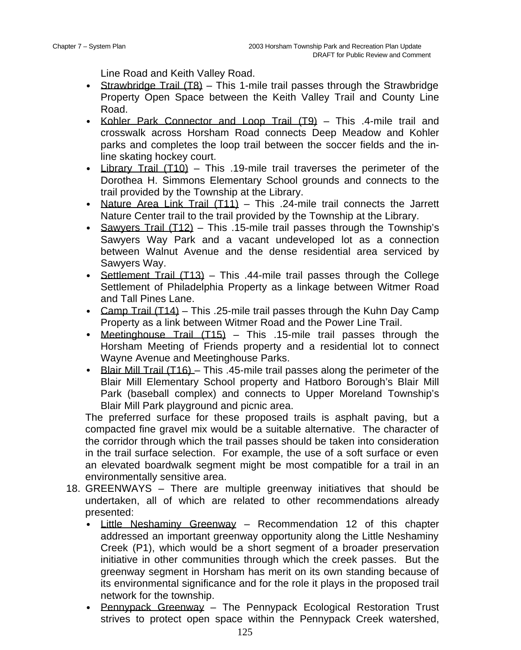Line Road and Keith Valley Road.

- Strawbridge Trail (T8) This 1-mile trail passes through the Strawbridge Property Open Space between the Keith Valley Trail and County Line Road.
- Kohler Park Connector and Loop Trail (T9) This .4-mile trail and crosswalk across Horsham Road connects Deep Meadow and Kohler parks and completes the loop trail between the soccer fields and the inline skating hockey court.
- Library Trail (T10) This .19-mile trail traverses the perimeter of the Dorothea H. Simmons Elementary School grounds and connects to the trail provided by the Township at the Library.
- Nature Area Link Trail (T11) This .24-mile trail connects the Jarrett Nature Center trail to the trail provided by the Township at the Library.
- Sawyers Trail (T12) This .15-mile trail passes through the Township's Sawyers Way Park and a vacant undeveloped lot as a connection between Walnut Avenue and the dense residential area serviced by Sawyers Way.
- Settlement Trail  $(T13)$  This .44-mile trail passes through the College Settlement of Philadelphia Property as a linkage between Witmer Road and Tall Pines Lane.
- Camp Trail (T14) This .25-mile trail passes through the Kuhn Day Camp Property as a link between Witmer Road and the Power Line Trail.
- Meetinghouse Trail  $(T15)$  This .15-mile trail passes through the Horsham Meeting of Friends property and a residential lot to connect Wayne Avenue and Meetinghouse Parks.
- Blair Mill Trail (T16) This .45-mile trail passes along the perimeter of the Blair Mill Elementary School property and Hatboro Borough's Blair Mill Park (baseball complex) and connects to Upper Moreland Township's Blair Mill Park playground and picnic area.

The preferred surface for these proposed trails is asphalt paving, but a compacted fine gravel mix would be a suitable alternative. The character of the corridor through which the trail passes should be taken into consideration in the trail surface selection. For example, the use of a soft surface or even an elevated boardwalk segment might be most compatible for a trail in an environmentally sensitive area.

- 18. GREENWAYS There are multiple greenway initiatives that should be undertaken, all of which are related to other recommendations already presented:
	- Little Neshaminy Greenway Recommendation 12 of this chapter addressed an important greenway opportunity along the Little Neshaminy Creek (P1), which would be a short segment of a broader preservation initiative in other communities through which the creek passes. But the greenway segment in Horsham has merit on its own standing because of its environmental significance and for the role it plays in the proposed trail network for the township.
	- Pennypack Greenway The Pennypack Ecological Restoration Trust strives to protect open space within the Pennypack Creek watershed,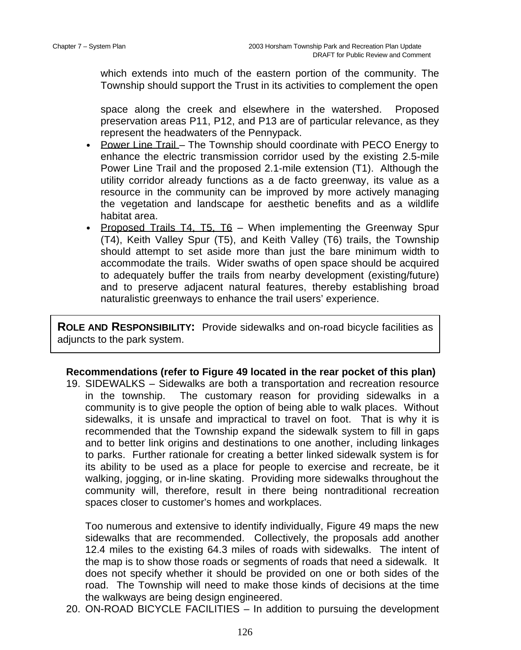which extends into much of the eastern portion of the community. The Township should support the Trust in its activities to complement the open

space along the creek and elsewhere in the watershed. Proposed preservation areas P11, P12, and P13 are of particular relevance, as they represent the headwaters of the Pennypack.

- Power Line Trail The Township should coordinate with PECO Energy to enhance the electric transmission corridor used by the existing 2.5-mile Power Line Trail and the proposed 2.1-mile extension (T1). Although the utility corridor already functions as a de facto greenway, its value as a resource in the community can be improved by more actively managing the vegetation and landscape for aesthetic benefits and as a wildlife habitat area.
- Proposed Trails T4, T5, T6 When implementing the Greenway Spur (T4), Keith Valley Spur (T5), and Keith Valley (T6) trails, the Township should attempt to set aside more than just the bare minimum width to accommodate the trails. Wider swaths of open space should be acquired to adequately buffer the trails from nearby development (existing/future) and to preserve adjacent natural features, thereby establishing broad naturalistic greenways to enhance the trail users' experience.

**ROLE AND RESPONSIBILITY:** Provide sidewalks and on-road bicycle facilities as adjuncts to the park system.

## **Recommendations (refer to Figure 49 located in the rear pocket of this plan)**

19. SIDEWALKS – Sidewalks are both a transportation and recreation resource in the township. The customary reason for providing sidewalks in a community is to give people the option of being able to walk places. Without sidewalks, it is unsafe and impractical to travel on foot. That is why it is recommended that the Township expand the sidewalk system to fill in gaps and to better link origins and destinations to one another, including linkages to parks. Further rationale for creating a better linked sidewalk system is for its ability to be used as a place for people to exercise and recreate, be it walking, jogging, or in-line skating. Providing more sidewalks throughout the community will, therefore, result in there being nontraditional recreation spaces closer to customer's homes and workplaces.

Too numerous and extensive to identify individually, Figure 49 maps the new sidewalks that are recommended. Collectively, the proposals add another 12.4 miles to the existing 64.3 miles of roads with sidewalks. The intent of the map is to show those roads or segments of roads that need a sidewalk. It does not specify whether it should be provided on one or both sides of the road. The Township will need to make those kinds of decisions at the time the walkways are being design engineered.

20. ON-ROAD BICYCLE FACILITIES – In addition to pursuing the development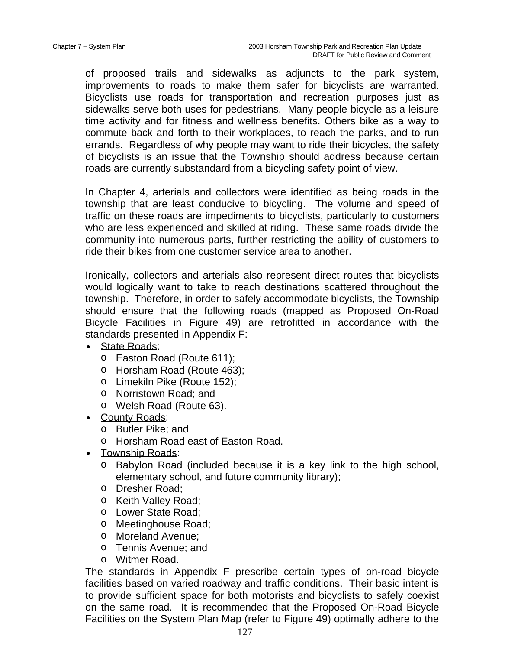of proposed trails and sidewalks as adjuncts to the park system, improvements to roads to make them safer for bicyclists are warranted. Bicyclists use roads for transportation and recreation purposes just as sidewalks serve both uses for pedestrians. Many people bicycle as a leisure time activity and for fitness and wellness benefits. Others bike as a way to commute back and forth to their workplaces, to reach the parks, and to run errands. Regardless of why people may want to ride their bicycles, the safety of bicyclists is an issue that the Township should address because certain roads are currently substandard from a bicycling safety point of view.

In Chapter 4, arterials and collectors were identified as being roads in the township that are least conducive to bicycling. The volume and speed of traffic on these roads are impediments to bicyclists, particularly to customers who are less experienced and skilled at riding. These same roads divide the community into numerous parts, further restricting the ability of customers to ride their bikes from one customer service area to another.

Ironically, collectors and arterials also represent direct routes that bicyclists would logically want to take to reach destinations scattered throughout the township. Therefore, in order to safely accommodate bicyclists, the Township should ensure that the following roads (mapped as Proposed On-Road Bicycle Facilities in Figure 49) are retrofitted in accordance with the standards presented in Appendix F:

- State Roads:
	- o Easton Road (Route 611);
	- o Horsham Road (Route 463);
	- o Limekiln Pike (Route 152);
	- o Norristown Road; and
	- o Welsh Road (Route 63).
- County Roads:
	- o Butler Pike; and
	- o Horsham Road east of Easton Road.
- Township Roads:
	- o Babylon Road (included because it is a key link to the high school, elementary school, and future community library);
	- o Dresher Road;
	- o Keith Valley Road;
	- o Lower State Road;
	- o Meetinghouse Road;
	- o Moreland Avenue;
	- o Tennis Avenue; and
	- o Witmer Road.

The standards in Appendix F prescribe certain types of on-road bicycle facilities based on varied roadway and traffic conditions. Their basic intent is to provide sufficient space for both motorists and bicyclists to safely coexist on the same road. It is recommended that the Proposed On-Road Bicycle Facilities on the System Plan Map (refer to Figure 49) optimally adhere to the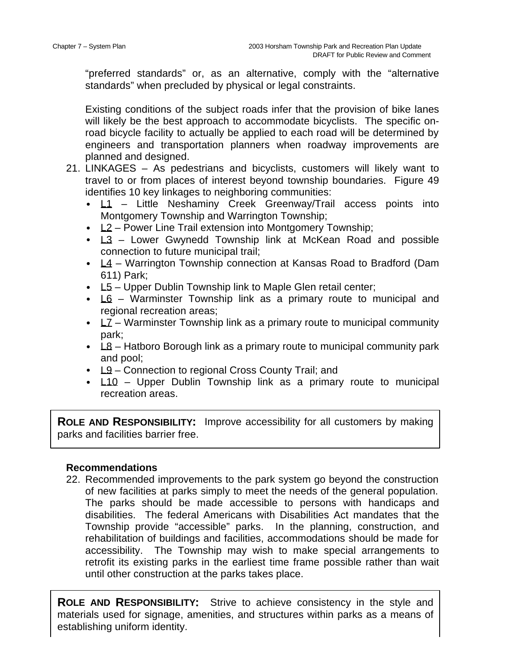"preferred standards" or, as an alternative, comply with the "alternative standards" when precluded by physical or legal constraints.

Existing conditions of the subject roads infer that the provision of bike lanes will likely be the best approach to accommodate bicyclists. The specific onroad bicycle facility to actually be applied to each road will be determined by engineers and transportation planners when roadway improvements are planned and designed.

- 21. LINKAGES As pedestrians and bicyclists, customers will likely want to travel to or from places of interest beyond township boundaries. Figure 49 identifies 10 key linkages to neighboring communities:
	- $L1$  Little Neshaminy Creek Greenway/Trail access points into Montgomery Township and Warrington Township;
	- L2 Power Line Trail extension into Montgomery Township;
	- $\angle$  13 Lower Gwynedd Township link at McKean Road and possible connection to future municipal trail;
	- $L4$  Warrington Township connection at Kansas Road to Bradford (Dam 611) Park;
	- $\bullet$  L5 Upper Dublin Township link to Maple Glen retail center;
	- $LG W$ arminster Township link as a primary route to municipal and regional recreation areas;
	- $LZ$  Warminster Township link as a primary route to municipal community park;
	- $\angle$  L8 Hatboro Borough link as a primary route to municipal community park and pool;
	- $L9$  Connection to regional Cross County Trail; and
	- L10 Upper Dublin Township link as a primary route to municipal recreation areas.

**ROLE AND RESPONSIBILITY:** Improve accessibility for all customers by making parks and facilities barrier free.

# **Recommendations**

 $\overline{a}$ 

22. Recommended improvements to the park system go beyond the construction of new facilities at parks simply to meet the needs of the general population. The parks should be made accessible to persons with handicaps and disabilities. The federal Americans with Disabilities Act mandates that the Township provide "accessible" parks. In the planning, construction, and rehabilitation of buildings and facilities, accommodations should be made for accessibility. The Township may wish to make special arrangements to retrofit its existing parks in the earliest time frame possible rather than wait until other construction at the parks takes place.

**ROLE AND RESPONSIBILITY:** Strive to achieve consistency in the style and materials used for signage, amenities, and structures within parks as a means of establishing uniform identity.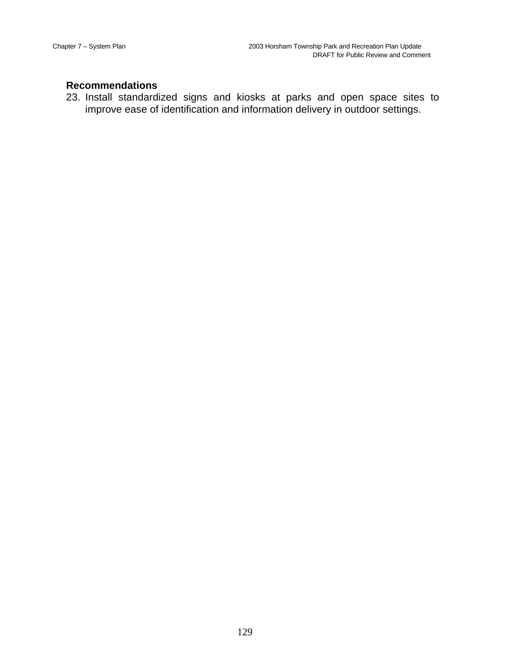# **Recommendations**

23. Install standardized signs and kiosks at parks and open space sites to improve ease of identification and information delivery in outdoor settings.